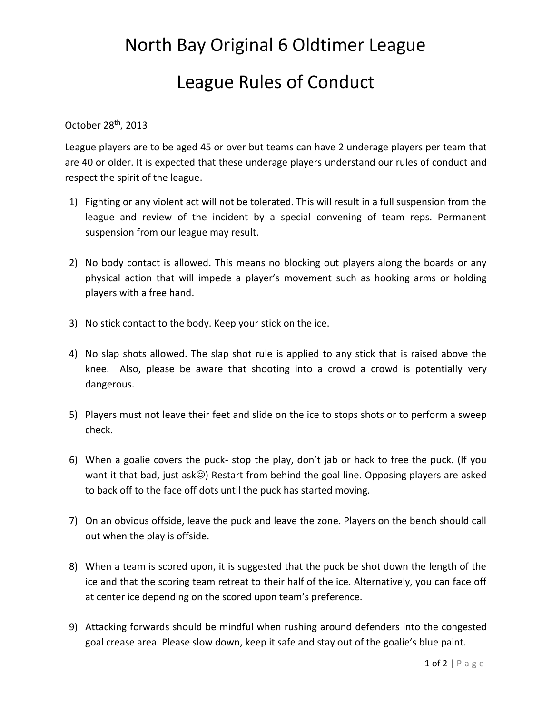## North Bay Original 6 Oldtimer League League Rules of Conduct

## October 28th, 2013

League players are to be aged 45 or over but teams can have 2 underage players per team that are 40 or older. It is expected that these underage players understand our rules of conduct and respect the spirit of the league.

- 1) Fighting or any violent act will not be tolerated. This will result in a full suspension from the league and review of the incident by a special convening of team reps. Permanent suspension from our league may result.
- 2) No body contact is allowed. This means no blocking out players along the boards or any physical action that will impede a player's movement such as hooking arms or holding players with a free hand.
- 3) No stick contact to the body. Keep your stick on the ice.
- 4) No slap shots allowed. The slap shot rule is applied to any stick that is raised above the knee. Also, please be aware that shooting into a crowd a crowd is potentially very dangerous.
- 5) Players must not leave their feet and slide on the ice to stops shots or to perform a sweep check.
- 6) When a goalie covers the puck- stop the play, don't jab or hack to free the puck. (If you want it that bad, just ask $\circledcirc$ ) Restart from behind the goal line. Opposing players are asked to back off to the face off dots until the puck has started moving.
- 7) On an obvious offside, leave the puck and leave the zone. Players on the bench should call out when the play is offside.
- 8) When a team is scored upon, it is suggested that the puck be shot down the length of the ice and that the scoring team retreat to their half of the ice. Alternatively, you can face off at center ice depending on the scored upon team's preference.
- 9) Attacking forwards should be mindful when rushing around defenders into the congested goal crease area. Please slow down, keep it safe and stay out of the goalie's blue paint.